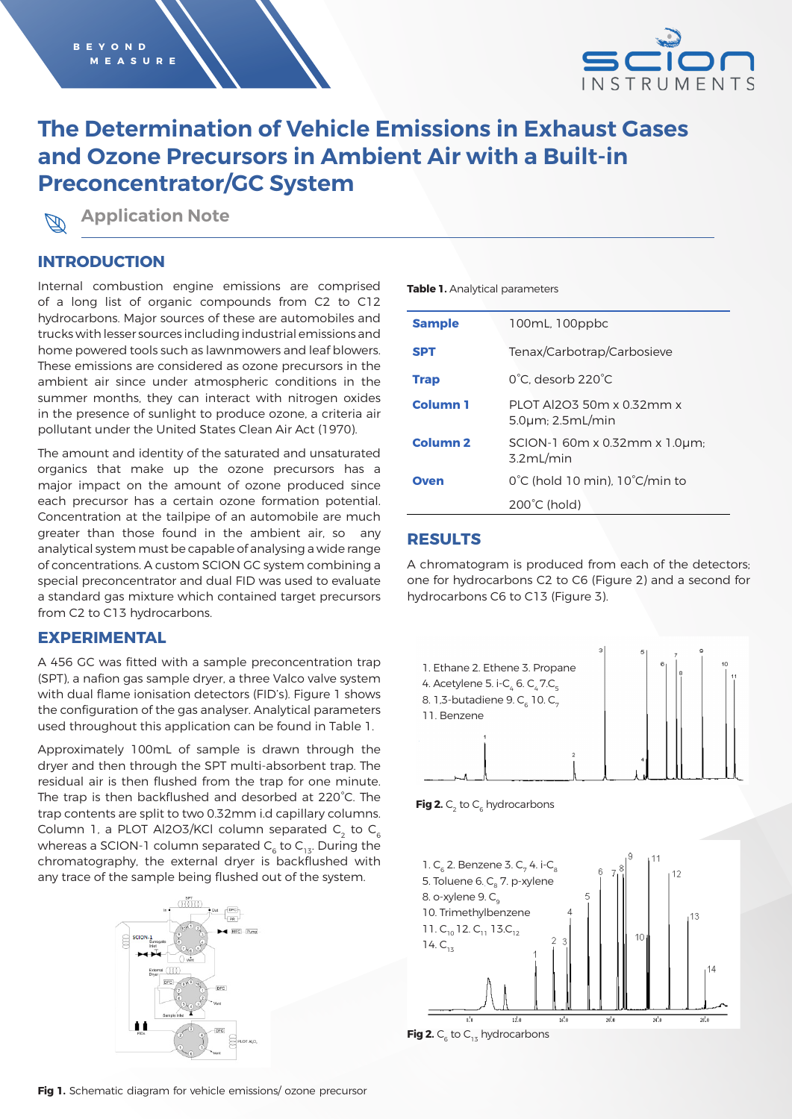

# **The Determination of Vehicle Emissions in Exhaust Gases and Ozone Precursors in Ambient Air with a Built-in Preconcentrator/GC System**

**Application Note**

### **INTRODUCTION**

Internal combustion engine emissions are comprised of a long list of organic compounds from C2 to C12 hydrocarbons. Major sources of these are automobiles and trucks with lesser sources including industrial emissions and home powered tools such as lawnmowers and leaf blowers. These emissions are considered as ozone precursors in the ambient air since under atmospheric conditions in the summer months, they can interact with nitrogen oxides in the presence of sunlight to produce ozone, a criteria air pollutant under the United States Clean Air Act (1970).

The amount and identity of the saturated and unsaturated organics that make up the ozone precursors has a major impact on the amount of ozone produced since each precursor has a certain ozone formation potential. Concentration at the tailpipe of an automobile are much greater than those found in the ambient air, so any analytical system must be capable of analysing a wide range of concentrations. A custom SCION GC system combining a special preconcentrator and dual FID was used to evaluate a standard gas mixture which contained target precursors from C2 to C13 hydrocarbons.

### **EXPERIMENTAL**

A 456 GC was fitted with a sample preconcentration trap (SPT), a nafion gas sample dryer, a three Valco valve system with dual flame ionisation detectors (FID's). Figure 1 shows the configuration of the gas analyser. Analytical parameters used throughout this application can be found in Table 1.

Approximately 100mL of sample is drawn through the dryer and then through the SPT multi-absorbent trap. The residual air is then flushed from the trap for one minute. The trap is then backflushed and desorbed at 220°C. The trap contents are split to two 0.32mm i.d capillary columns. Column 1, a PLOT Al2O3/KCl column separated  $C_2$  to  $C_6$ whereas a SCION-1 column separated  $C_6$  to  $C_{13}$ . During the chromatography, the external dryer is backflushed with any trace of the sample being flushed out of the system.



#### **Table 1.** Analytical parameters

| <b>Sample</b>       | 100mL, 100ppbc                                                 |
|---------------------|----------------------------------------------------------------|
| <b>SPT</b>          | Tenax/Carbotrap/Carbosieve                                     |
| <b>Trap</b>         | 0°C. desorb 220°C                                              |
| <b>Column 1</b>     | PLOT AI2O3 50m x 0.32mm x<br>$5.0 \mu m$ ; $2.5 \text{mL/min}$ |
| Column <sub>2</sub> | SCION-1 60m x 0.32mm x 1.0um;<br>3.2mL/min                     |
| Oven                | $0^{\circ}$ C (hold 10 min). 10 $^{\circ}$ C/min to            |
|                     | $200^{\circ}$ C (hold)                                         |

### **RESULTS**

A chromatogram is produced from each of the detectors; one for hydrocarbons C2 to C6 (Figure 2) and a second for hydrocarbons C6 to C13 (Figure 3).



**Fig 2.**  $C_2$  to  $C_6$  hydrocarbons